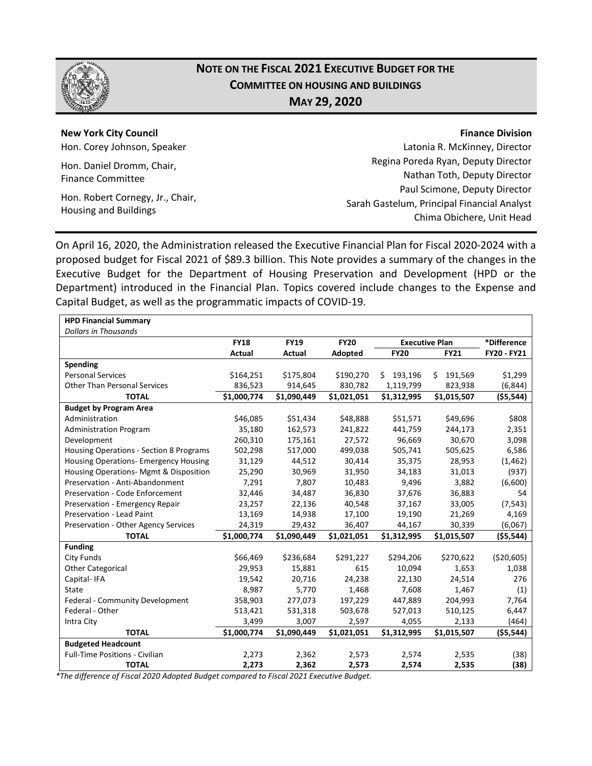

# **NOTE ON THE FISCAL 2021 EXECUTIVE BUDGET FOR THE COMMITTEE ON HOUSING AND BUILDINGS MAY 29, 2020**

**New York City Council** Hon. Corey Johnson, Speaker Hon. Daniel Dromm, Chair,

Finance Committee

Hon. Robert Cornegy, Jr., Chair, Housing and Buildings

Latonia R. McKinney, Director Regina Poreda Ryan, Deputy Director Nathan Toth, Deputy Director Paul Scimone, Deputy Director Sarah Gastelum, Principal Financial Analyst Chima Obichere, Unit Head

On April 16, 2020, the Administration released the Executive Financial Plan for Fiscal 2020-2024 with a proposed budget for Fiscal 2021 of \$89.3 billion. This Note provides a summary of the changes in the Executive Budget for the Department of Housing Preservation and Development (HPD or the Department) introduced in the Financial Plan. Topics covered include changes to the Expense and Capital Budget, as well as the programmatic impacts of COVID-19.

| <b>HPD Financial Summary</b>            |             |                            |             |                       |              |                    |  |  |  |
|-----------------------------------------|-------------|----------------------------|-------------|-----------------------|--------------|--------------------|--|--|--|
| <b>Dollars in Thousands</b>             |             |                            |             |                       |              |                    |  |  |  |
|                                         | <b>FY18</b> | <b>FY19</b><br><b>FY20</b> |             | <b>Executive Plan</b> | *Difference  |                    |  |  |  |
|                                         | Actual      | Actual                     | Adopted     | <b>FY20</b>           | <b>FY21</b>  | <b>FY20 - FY21</b> |  |  |  |
| Spending                                |             |                            |             |                       |              |                    |  |  |  |
| <b>Personal Services</b>                | \$164,251   | \$175,804                  | \$190,270   | 193,196<br>Ś          | Ś<br>191,569 | \$1,299            |  |  |  |
| <b>Other Than Personal Services</b>     | 836,523     | 914,645                    | 830,782     | 1,119,799             | 823,938      | (6, 844)           |  |  |  |
| <b>TOTAL</b>                            | \$1,000,774 | \$1,090,449                | \$1,021,051 | \$1,312,995           | \$1,015,507  | ( \$5,544)         |  |  |  |
| <b>Budget by Program Area</b>           |             |                            |             |                       |              |                    |  |  |  |
| Administration                          | \$46,085    | \$51,434                   | \$48,888    | \$51,571              | \$49,696     | \$808              |  |  |  |
| <b>Administration Program</b>           | 35,180      | 162,573                    | 241,822     | 441,759               | 244,173      | 2,351              |  |  |  |
| Development                             | 260,310     | 175,161                    | 27,572      | 96,669                | 30,670       | 3,098              |  |  |  |
| Housing Operations - Section 8 Programs | 502,298     | 517,000                    | 499,038     | 505,741               | 505,625      | 6,586              |  |  |  |
| Housing Operations- Emergency Housing   | 31,129      | 44,512                     | 30,414      | 35,375                | 28,953       | (1, 462)           |  |  |  |
| Housing Operations- Mgmt & Disposition  | 25,290      | 30,969                     | 31,950      | 34,183                | 31,013       | (937)              |  |  |  |
| Preservation - Anti-Abandonment         | 7,291       | 7,807                      | 10,483      | 9,496                 | 3,882        | (6,600)            |  |  |  |
| Preservation - Code Enforcement         | 32,446      | 34,487                     | 36,830      | 37,676                | 36,883       | 54                 |  |  |  |
| Preservation - Emergency Repair         | 23,257      | 22,136                     | 40,548      | 37,167                | 33,005       | (7, 543)           |  |  |  |
| Preservation - Lead Paint               | 13,169      | 14,938                     | 17,100      | 19,190                | 21,269       | 4,169              |  |  |  |
| Preservation - Other Agency Services    | 24,319      | 29,432                     | 36,407      | 44,167                | 30,339       | (6,067)            |  |  |  |
| <b>TOTAL</b>                            | \$1,000,774 | \$1,090,449                | \$1,021,051 | \$1,312,995           | \$1,015,507  | (\$5,544)          |  |  |  |
| <b>Funding</b>                          |             |                            |             |                       |              |                    |  |  |  |
| City Funds                              | \$66,469    | \$236,684                  | \$291,227   | \$294,206             | \$270,622    | ( \$20,605)        |  |  |  |
| <b>Other Categorical</b>                | 29,953      | 15,881                     | 615         | 10,094                | 1,653        | 1,038              |  |  |  |
| Capital-IFA                             | 19,542      | 20,716                     | 24,238      | 22,130                | 24,514       | 276                |  |  |  |
| State                                   | 8,987       | 5,770                      | 1,468       | 7,608                 | 1,467        | (1)                |  |  |  |
| Federal - Community Development         | 358,903     | 277,073                    | 197,229     | 447,889               | 204,993      | 7,764              |  |  |  |
| Federal - Other                         | 513,421     | 531,318                    | 503,678     | 527,013               | 510,125      | 6,447              |  |  |  |
| Intra City                              | 3,499       | 3,007                      | 2,597       | 4,055                 | 2,133        | (464)              |  |  |  |
| <b>TOTAL</b>                            | \$1,000,774 | \$1,090,449                | \$1,021,051 | \$1,312,995           | \$1,015,507  | ( \$5,544)         |  |  |  |
| <b>Budgeted Headcount</b>               |             |                            |             |                       |              |                    |  |  |  |
| <b>Full-Time Positions - Civilian</b>   | 2,273       | 2,362                      | 2,573       | 2,574                 | 2,535        | (38)               |  |  |  |
| <b>TOTAL</b>                            | 2,273       | 2,362                      | 2,573       | 2,574                 | 2,535        | (38)               |  |  |  |

*\*The difference of Fiscal 2020 Adopted Budget compared to Fiscal 2021 Executive Budget.*

#### **Finance Division**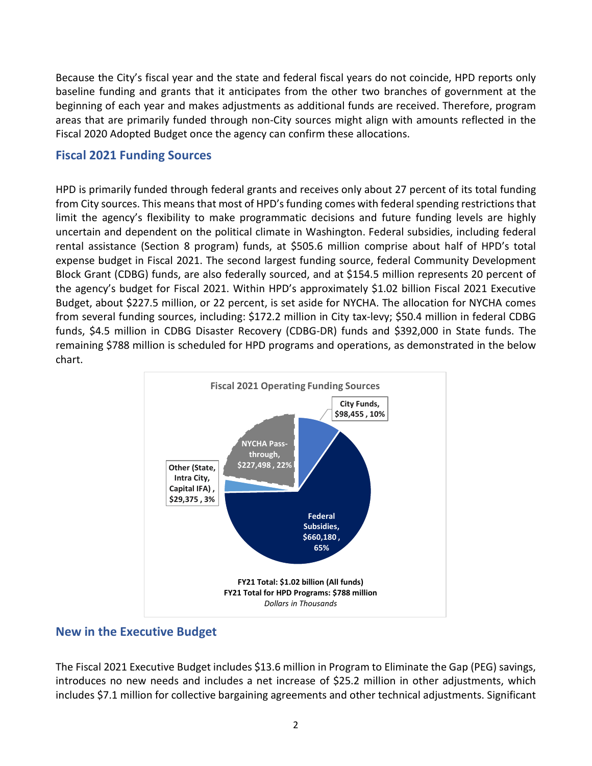Because the City's fiscal year and the state and federal fiscal years do not coincide, HPD reports only baseline funding and grants that it anticipates from the other two branches of government at the beginning of each year and makes adjustments as additional funds are received. Therefore, program areas that are primarily funded through non-City sources might align with amounts reflected in the Fiscal 2020 Adopted Budget once the agency can confirm these allocations.

# **Fiscal 2021 Funding Sources**

HPD is primarily funded through federal grants and receives only about 27 percent of its total funding from City sources. This means that most of HPD's funding comes with federal spending restrictions that limit the agency's flexibility to make programmatic decisions and future funding levels are highly uncertain and dependent on the political climate in Washington. Federal subsidies, including federal rental assistance (Section 8 program) funds, at \$505.6 million comprise about half of HPD's total expense budget in Fiscal 2021. The second largest funding source, federal Community Development Block Grant (CDBG) funds, are also federally sourced, and at \$154.5 million represents 20 percent of the agency's budget for Fiscal 2021. Within HPD's approximately \$1.02 billion Fiscal 2021 Executive Budget, about \$227.5 million, or 22 percent, is set aside for NYCHA. The allocation for NYCHA comes from several funding sources, including: \$172.2 million in City tax-levy; \$50.4 million in federal CDBG funds, \$4.5 million in CDBG Disaster Recovery (CDBG-DR) funds and \$392,000 in State funds. The remaining \$788 million is scheduled for HPD programs and operations, as demonstrated in the below chart.



# **New in the Executive Budget**

The Fiscal 2021 Executive Budget includes \$13.6 million in Program to Eliminate the Gap (PEG) savings, introduces no new needs and includes a net increase of \$25.2 million in other adjustments, which includes \$7.1 million for collective bargaining agreements and other technical adjustments. Significant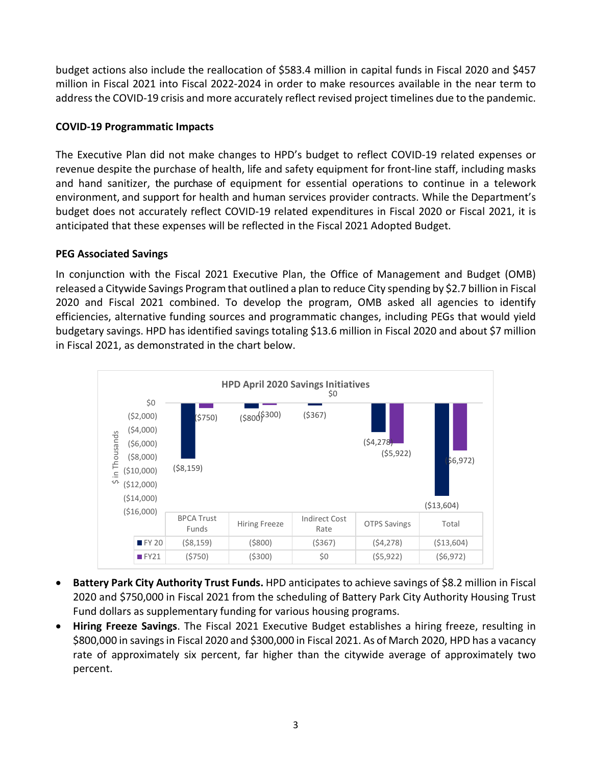budget actions also include the reallocation of \$583.4 million in capital funds in Fiscal 2020 and \$457 million in Fiscal 2021 into Fiscal 2022-2024 in order to make resources available in the near term to address the COVID-19 crisis and more accurately reflect revised project timelines due to the pandemic.

### **COVID-19 Programmatic Impacts**

The Executive Plan did not make changes to HPD's budget to reflect COVID-19 related expenses or revenue despite the purchase of health, life and safety equipment for front-line staff, including masks and hand sanitizer, the purchase of equipment for essential operations to continue in a telework environment, and support for health and human services provider contracts. While the Department's budget does not accurately reflect COVID-19 related expenditures in Fiscal 2020 or Fiscal 2021, it is anticipated that these expenses will be reflected in the Fiscal 2021 Adopted Budget.

### **PEG Associated Savings**

In conjunction with the Fiscal 2021 Executive Plan, the Office of Management and Budget (OMB) released a Citywide Savings Program that outlined a plan to reduce City spending by \$2.7 billion in Fiscal 2020 and Fiscal 2021 combined. To develop the program, OMB asked all agencies to identify efficiencies, alternative funding sources and programmatic changes, including PEGs that would yield budgetary savings. HPD has identified savings totaling \$13.6 million in Fiscal 2020 and about \$7 million in Fiscal 2021, as demonstrated in the chart below.

![](_page_2_Figure_5.jpeg)

- **Battery Park City Authority Trust Funds.** HPD anticipates to achieve savings of \$8.2 million in Fiscal 2020 and \$750,000 in Fiscal 2021 from the scheduling of Battery Park City Authority Housing Trust Fund dollars as supplementary funding for various housing programs.
- **Hiring Freeze Savings**. The Fiscal 2021 Executive Budget establishes a hiring freeze, resulting in \$800,000 in savings in Fiscal 2020 and \$300,000 in Fiscal 2021. As of March 2020, HPD has a vacancy rate of approximately six percent, far higher than the citywide average of approximately two percent.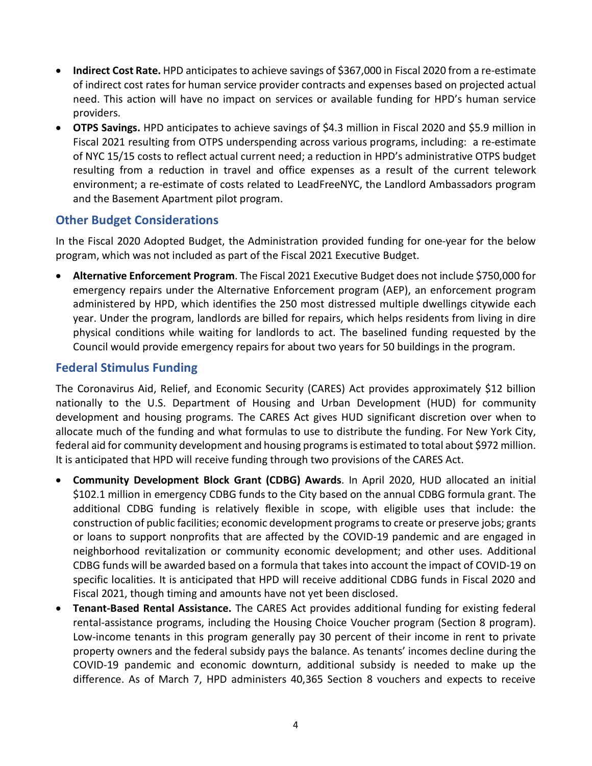- **Indirect Cost Rate.** HPD anticipates to achieve savings of \$367,000 in Fiscal 2020 from a re-estimate of indirect cost rates for human service provider contracts and expenses based on projected actual need. This action will have no impact on services or available funding for HPD's human service providers.
- **OTPS Savings.** HPD anticipates to achieve savings of \$4.3 million in Fiscal 2020 and \$5.9 million in Fiscal 2021 resulting from OTPS underspending across various programs, including: a re-estimate of NYC 15/15 costs to reflect actual current need; a reduction in HPD's administrative OTPS budget resulting from a reduction in travel and office expenses as a result of the current telework environment; a re-estimate of costs related to LeadFreeNYC, the Landlord Ambassadors program and the Basement Apartment pilot program.

# **Other Budget Considerations**

In the Fiscal 2020 Adopted Budget, the Administration provided funding for one-year for the below program, which was not included as part of the Fiscal 2021 Executive Budget.

• **Alternative Enforcement Program**. The Fiscal 2021 Executive Budget does not include \$750,000 for emergency repairs under the Alternative Enforcement program (AEP), an enforcement program administered by HPD, which identifies the 250 most distressed multiple dwellings citywide each year. Under the program, landlords are billed for repairs, which helps residents from living in dire physical conditions while waiting for landlords to act. The baselined funding requested by the Council would provide emergency repairs for about two years for 50 buildings in the program.

# **Federal Stimulus Funding**

The Coronavirus Aid, Relief, and Economic Security (CARES) Act provides approximately \$12 billion nationally to the U.S. Department of Housing and Urban Development (HUD) for community development and housing programs. The CARES Act gives HUD significant discretion over when to allocate much of the funding and what formulas to use to distribute the funding. For New York City, federal aid for community development and housing programs is estimated to total about \$972 million. It is anticipated that HPD will receive funding through two provisions of the CARES Act.

- **Community Development Block Grant (CDBG) Awards**. In April 2020, HUD allocated an initial \$102.1 million in emergency CDBG funds to the City based on the annual CDBG formula grant. The additional CDBG funding is relatively flexible in scope, with eligible uses that include: the construction of public facilities; economic development programs to create or preserve jobs; grants or loans to support nonprofits that are affected by the COVID-19 pandemic and are engaged in neighborhood revitalization or community economic development; and other uses. Additional CDBG funds will be awarded based on a formula that takes into account the impact of COVID-19 on specific localities. It is anticipated that HPD will receive additional CDBG funds in Fiscal 2020 and Fiscal 2021, though timing and amounts have not yet been disclosed.
- **Tenant-Based Rental Assistance.** The CARES Act provides additional funding for existing federal rental-assistance programs, including the Housing Choice Voucher program (Section 8 program). Low-income tenants in this program generally pay 30 percent of their income in rent to private property owners and the federal subsidy pays the balance. As tenants' incomes decline during the COVID-19 pandemic and economic downturn, additional subsidy is needed to make up the difference. As of March 7, HPD administers 40,365 Section 8 vouchers and expects to receive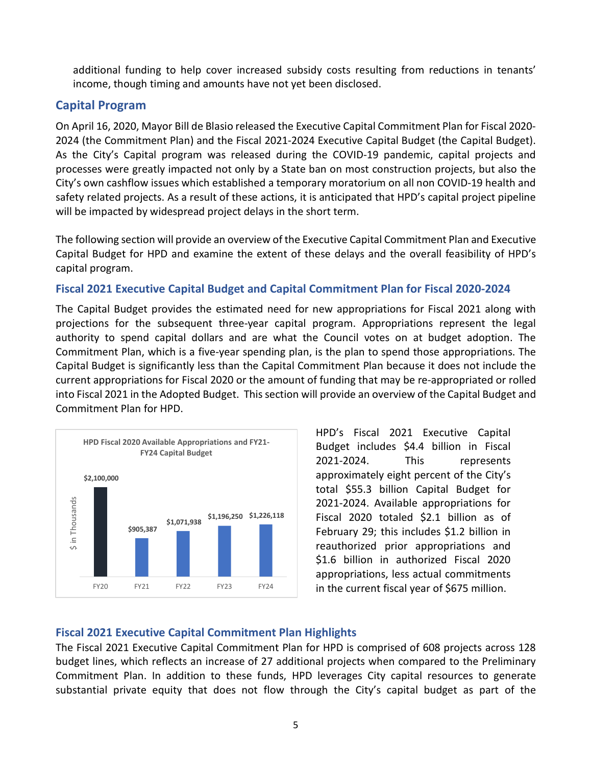additional funding to help cover increased subsidy costs resulting from reductions in tenants' income, though timing and amounts have not yet been disclosed.

# **Capital Program**

On April 16, 2020, Mayor Bill de Blasio released the Executive Capital Commitment Plan for Fiscal 2020- 2024 (the Commitment Plan) and the Fiscal 2021-2024 Executive Capital Budget (the Capital Budget). As the City's Capital program was released during the COVID-19 pandemic, capital projects and processes were greatly impacted not only by a State ban on most construction projects, but also the City's own cashflow issues which established a temporary moratorium on all non COVID-19 health and safety related projects. As a result of these actions, it is anticipated that HPD's capital project pipeline will be impacted by widespread project delays in the short term.

The following section will provide an overview of the Executive Capital Commitment Plan and Executive Capital Budget for HPD and examine the extent of these delays and the overall feasibility of HPD's capital program.

#### **Fiscal 2021 Executive Capital Budget and Capital Commitment Plan for Fiscal 2020-2024**

The Capital Budget provides the estimated need for new appropriations for Fiscal 2021 along with projections for the subsequent three-year capital program. Appropriations represent the legal authority to spend capital dollars and are what the Council votes on at budget adoption. The Commitment Plan, which is a five-year spending plan, is the plan to spend those appropriations. The Capital Budget is significantly less than the Capital Commitment Plan because it does not include the current appropriations for Fiscal 2020 or the amount of funding that may be re-appropriated or rolled into Fiscal 2021 in the Adopted Budget. This section will provide an overview of the Capital Budget and Commitment Plan for HPD.

![](_page_4_Figure_6.jpeg)

HPD's Fiscal 2021 Executive Capital Budget includes \$4.4 billion in Fiscal 2021-2024. This represents approximately eight percent of the City's total \$55.3 billion Capital Budget for 2021-2024. Available appropriations for Fiscal 2020 totaled \$2.1 billion as of February 29; this includes \$1.2 billion in reauthorized prior appropriations and \$1.6 billion in authorized Fiscal 2020 appropriations, less actual commitments in the current fiscal year of \$675 million.

#### **Fiscal 2021 Executive Capital Commitment Plan Highlights**

The Fiscal 2021 Executive Capital Commitment Plan for HPD is comprised of 608 projects across 128 budget lines, which reflects an increase of 27 additional projects when compared to the Preliminary Commitment Plan. In addition to these funds, HPD leverages City capital resources to generate substantial private equity that does not flow through the City's capital budget as part of the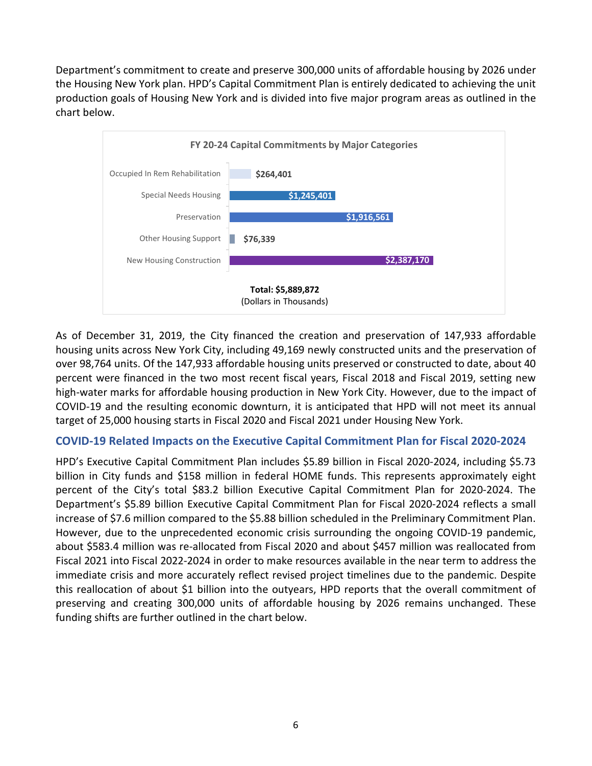Department's commitment to create and preserve 300,000 units of affordable housing by 2026 under the Housing New York plan. HPD's Capital Commitment Plan is entirely dedicated to achieving the unit production goals of Housing New York and is divided into five major program areas as outlined in the chart below.

![](_page_5_Figure_1.jpeg)

As of December 31, 2019, the City financed the creation and preservation of 147,933 affordable housing units across New York City, including 49,169 newly constructed units and the preservation of over 98,764 units. Of the 147,933 affordable housing units preserved or constructed to date, about 40 percent were financed in the two most recent fiscal years, Fiscal 2018 and Fiscal 2019, setting new high-water marks for affordable housing production in New York City. However, due to the impact of COVID-19 and the resulting economic downturn, it is anticipated that HPD will not meet its annual target of 25,000 housing starts in Fiscal 2020 and Fiscal 2021 under Housing New York.

#### **COVID-19 Related Impacts on the Executive Capital Commitment Plan for Fiscal 2020-2024**

HPD's Executive Capital Commitment Plan includes \$5.89 billion in Fiscal 2020-2024, including \$5.73 billion in City funds and \$158 million in federal HOME funds. This represents approximately eight percent of the City's total \$83.2 billion Executive Capital Commitment Plan for 2020-2024. The Department's \$5.89 billion Executive Capital Commitment Plan for Fiscal 2020-2024 reflects a small increase of \$7.6 million compared to the \$5.88 billion scheduled in the Preliminary Commitment Plan. However, due to the unprecedented economic crisis surrounding the ongoing COVID-19 pandemic, about \$583.4 million was re-allocated from Fiscal 2020 and about \$457 million was reallocated from Fiscal 2021 into Fiscal 2022-2024 in order to make resources available in the near term to address the immediate crisis and more accurately reflect revised project timelines due to the pandemic. Despite this reallocation of about \$1 billion into the outyears, HPD reports that the overall commitment of preserving and creating 300,000 units of affordable housing by 2026 remains unchanged. These funding shifts are further outlined in the chart below.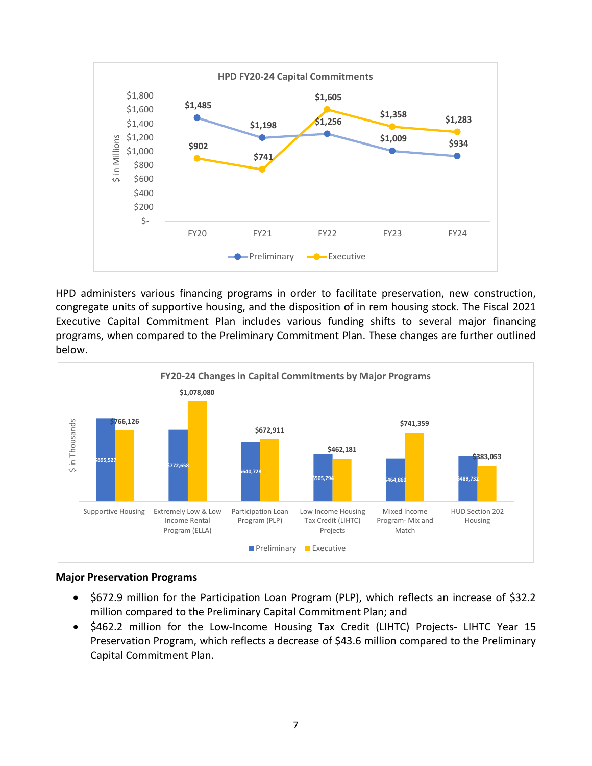![](_page_6_Figure_0.jpeg)

HPD administers various financing programs in order to facilitate preservation, new construction, congregate units of supportive housing, and the disposition of in rem housing stock. The Fiscal 2021 Executive Capital Commitment Plan includes various funding shifts to several major financing programs, when compared to the Preliminary Commitment Plan. These changes are further outlined below.

![](_page_6_Figure_2.jpeg)

#### **Major Preservation Programs**

- \$672.9 million for the Participation Loan Program (PLP), which reflects an increase of \$32.2 million compared to the Preliminary Capital Commitment Plan; and
- \$462.2 million for the Low-Income Housing Tax Credit (LIHTC) Projects- LIHTC Year 15 Preservation Program, which reflects a decrease of \$43.6 million compared to the Preliminary Capital Commitment Plan.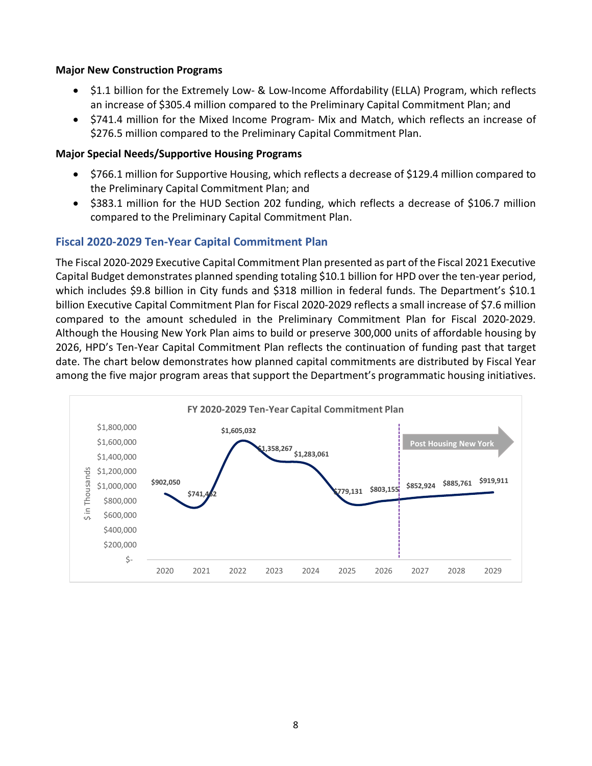#### **Major New Construction Programs**

- \$1.1 billion for the Extremely Low- & Low-Income Affordability (ELLA) Program, which reflects an increase of \$305.4 million compared to the Preliminary Capital Commitment Plan; and
- \$741.4 million for the Mixed Income Program- Mix and Match, which reflects an increase of \$276.5 million compared to the Preliminary Capital Commitment Plan.

#### **Major Special Needs/Supportive Housing Programs**

- \$766.1 million for Supportive Housing, which reflects a decrease of \$129.4 million compared to the Preliminary Capital Commitment Plan; and
- \$383.1 million for the HUD Section 202 funding, which reflects a decrease of \$106.7 million compared to the Preliminary Capital Commitment Plan.

# **Fiscal 2020-2029 Ten-Year Capital Commitment Plan**

The Fiscal 2020-2029 Executive Capital Commitment Plan presented as part of the Fiscal 2021 Executive Capital Budget demonstrates planned spending totaling \$10.1 billion for HPD over the ten-year period, which includes \$9.8 billion in City funds and \$318 million in federal funds. The Department's \$10.1 billion Executive Capital Commitment Plan for Fiscal 2020-2029 reflects a small increase of \$7.6 million compared to the amount scheduled in the Preliminary Commitment Plan for Fiscal 2020-2029. Although the Housing New York Plan aims to build or preserve 300,000 units of affordable housing by 2026, HPD's Ten-Year Capital Commitment Plan reflects the continuation of funding past that target date. The chart below demonstrates how planned capital commitments are distributed by Fiscal Year among the five major program areas that support the Department's programmatic housing initiatives.

![](_page_7_Figure_8.jpeg)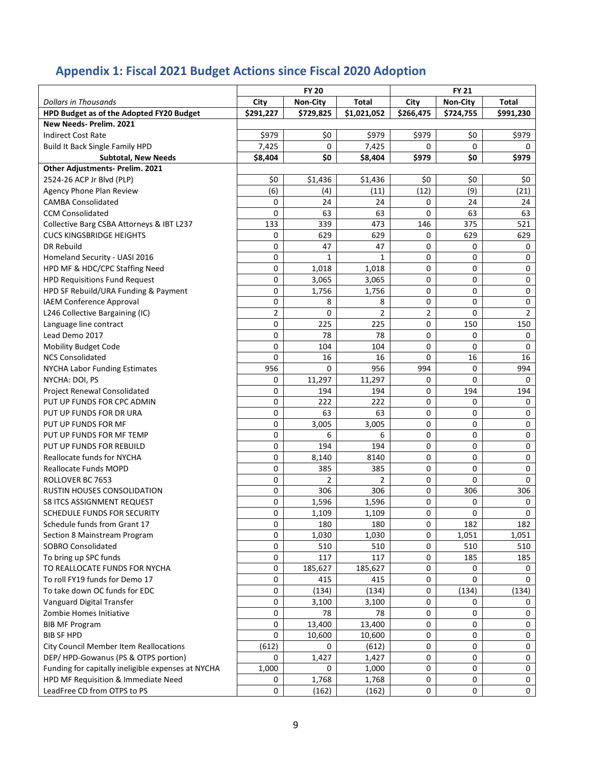# **Appendix 1: Fiscal 2021 Budget Actions since Fiscal 2020 Adoption**

|                                                           | <b>FY 20</b>   |                 |                | <b>FY 21</b> |                 |                |  |
|-----------------------------------------------------------|----------------|-----------------|----------------|--------------|-----------------|----------------|--|
| <b>Dollars in Thousands</b>                               | City           | <b>Non-City</b> | Total          | City         | <b>Non-City</b> | Total          |  |
| HPD Budget as of the Adopted FY20 Budget                  | \$291,227      | \$729,825       | \$1,021,052    | \$266,475    | \$724,755       | \$991,230      |  |
| New Needs- Prelim. 2021                                   |                |                 |                |              |                 |                |  |
| <b>Indirect Cost Rate</b>                                 | \$979          | \$0             | \$979          | \$979        | \$0             | \$979          |  |
| Build It Back Single Family HPD                           | 7,425          | 0               | 7,425          | 0            | $\Omega$        | 0              |  |
| <b>Subtotal, New Needs</b>                                | \$8,404        | \$0             | \$8,404        | \$979        | \$0             | \$979          |  |
| Other Adjustments- Prelim. 2021                           |                |                 |                |              |                 |                |  |
| 2524-26 ACP Jr Blvd (PLP)                                 | \$0            | \$1,436         | \$1,436        | \$0          | \$0             | \$0            |  |
| Agency Phone Plan Review                                  | (6)            | (4)             | (11)           | (12)         | (9)             | (21)           |  |
| <b>CAMBA Consolidated</b>                                 | 0              | 24              | 24             | 0            | 24              | 24             |  |
| <b>CCM Consolidated</b>                                   | 0              | 63              | 63             | 0            | 63              | 63             |  |
| Collective Barg CSBA Attorneys & IBT L237                 | 133            | 339             | 473            | 146          | 375             | 521            |  |
| <b>CUCS KINGSBRIDGE HEIGHTS</b>                           | 0              | 629             | 629            | 0            | 629             | 629            |  |
| DR Rebuild                                                | 0              | 47              | 47             | 0            | 0               | 0              |  |
| Homeland Security - UASI 2016                             | 0              | 1               | 1              | 0            | 0               | 0              |  |
| HPD MF & HDC/CPC Staffing Need                            | 0              | 1,018           | 1,018          | 0            | 0               | 0              |  |
| <b>HPD Requisitions Fund Request</b>                      | 0              | 3,065           | 3,065          | 0            | 0               | 0              |  |
| HPD SF Rebuild/URA Funding & Payment                      | 0              | 1,756           | 1,756          | 0            | 0               | 0              |  |
| <b>IAEM Conference Approval</b>                           | 0              | 8               | 8              | 0            | 0               | 0              |  |
| L246 Collective Bargaining (IC)                           | $\overline{2}$ | $\mathbf 0$     | $\overline{2}$ | 2            | 0               | $\overline{2}$ |  |
| Language line contract                                    | 0              | 225             | 225            | 0            | 150             | 150            |  |
| Lead Demo 2017                                            | 0              | 78              | 78             | 0            | 0               | 0              |  |
| Mobility Budget Code                                      | 0              | 104             | 104            | 0            | 0               | 0              |  |
| <b>NCS Consolidated</b>                                   | 0              | 16              | 16             | 0            | 16              | 16             |  |
| <b>NYCHA Labor Funding Estimates</b>                      | 956            | 0               | 956            | 994          | 0               | 994            |  |
| NYCHA: DOI, PS                                            | 0              | 11,297          | 11,297         | 0            | 0               | 0              |  |
| Project Renewal Consolidated                              | 0              | 194             | 194            | 0            | 194             | 194            |  |
| PUT UP FUNDS FOR CPC ADMIN                                | 0              | 222             | 222            | 0            | 0               | 0              |  |
| PUT UP FUNDS FOR DR URA                                   | 0              | 63              | 63             | 0            | 0               | 0              |  |
| PUT UP FUNDS FOR MF                                       | 0              | 3,005           | 3,005          | 0            | 0               | 0              |  |
| PUT UP FUNDS FOR MF TEMP                                  | 0              | 6               | 6              | 0            | 0               | 0              |  |
| PUT UP FUNDS FOR REBUILD                                  | 0              | 194             | 194            | 0            | 0               | 0              |  |
| Reallocate funds for NYCHA                                | 0              | 8,140           | 8140           | 0            | 0               | 0              |  |
| Reallocate Funds MOPD                                     | 0              | 385             | 385            | 0            | 0               | 0              |  |
| ROLLOVER BC 7653                                          | 0              | $\overline{2}$  | $\overline{2}$ | 0            | 0               | 0              |  |
| RUSTIN HOUSES CONSOLIDATION                               | 0              | 306             | 306            | 0            | 306             | 306            |  |
| <b>S8 ITCS ASSIGNMENT REQUEST</b>                         | 0              |                 |                | 0            | 0               |                |  |
| SCHEDULE FUNDS FOR SECURITY                               | 0              | 1,596<br>1,109  | 1,596<br>1,109 | 0            | 0               | 0<br>0         |  |
| Schedule funds from Grant 17                              | 0              | 180             | 180            | 0            | 182             | 182            |  |
|                                                           | 0              |                 |                |              |                 |                |  |
| Section 8 Mainstream Program<br><b>SOBRO Consolidated</b> | 0              | 1,030<br>510    | 1,030<br>510   | 0<br>0       | 1,051<br>510    | 1,051          |  |
|                                                           | 0              | 117             | 117            |              | 185             | 510            |  |
| To bring up SPC funds                                     | 0              |                 |                | 0<br>0       | 0               | 185            |  |
| TO REALLOCATE FUNDS FOR NYCHA                             |                | 185,627         | 185,627        |              |                 | 0              |  |
| To roll FY19 funds for Demo 17                            | 0              | 415             | 415            | 0            | 0               | 0              |  |
| To take down OC funds for EDC                             | 0              | (134)           | (134)          | 0            | (134)           | (134)          |  |
| Vanguard Digital Transfer                                 | 0              | 3,100           | 3,100          | 0            | 0               | 0              |  |
| Zombie Homes Initiative                                   | 0              | 78              | 78             | 0            | 0               | 0              |  |
| <b>BIB MF Program</b>                                     | 0              | 13,400          | 13,400         | 0            | 0               | 0              |  |
| <b>BIB SF HPD</b>                                         | 0              | 10,600          | 10,600         | 0            | 0               | 0              |  |
| City Council Member Item Reallocations                    | (612)          | 0               | (612)          | 0            | 0               | 0              |  |
| DEP/HPD-Gowanus (PS & OTPS portion)                       | 0              | 1,427           | 1,427          | 0            | 0               | 0              |  |
| Funding for capitally ineligible expenses at NYCHA        | 1,000          | 0               | 1,000          | 0            | 0               | 0              |  |
| HPD MF Requisition & Immediate Need                       | 0              | 1,768           | 1,768          | 0            | 0               | 0              |  |
| LeadFree CD from OTPS to PS                               | 0              | (162)           | (162)          | 0            | 0               | 0              |  |